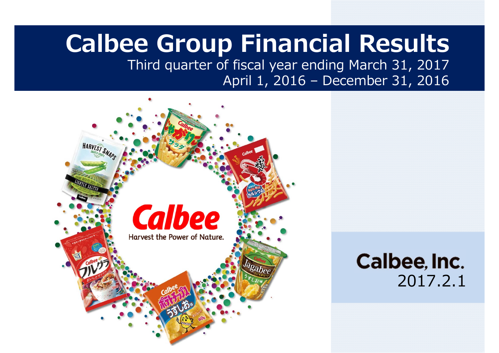# **Calbee Group Financial Results**

Third quarter of fiscal year ending March 31, 2017 April 1, 2016 – December 31, 2016

2017.2.1

Calbee, Inc.

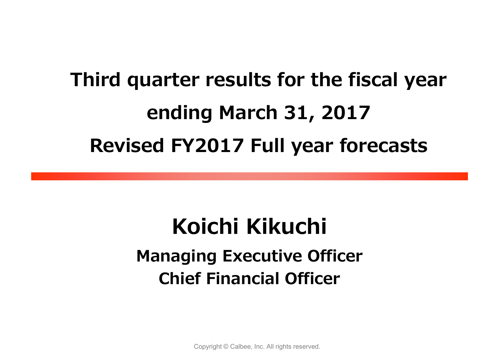# **Third quarter results for the fiscal year ending March 31, 2017 Revised FY2017 Full year forecasts**

# **Koichi Kikuchi Managing Executive Officer Chief Financial Officer**

Copyright © Calbee, Inc. All rights reserved.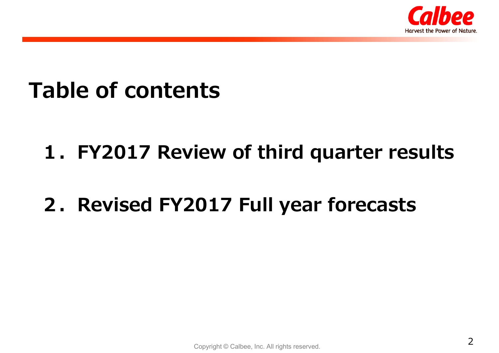

# **Table of contents**

# **1.FY2017 Review of third quarter results**

# **2.Revised FY2017 Full year forecasts**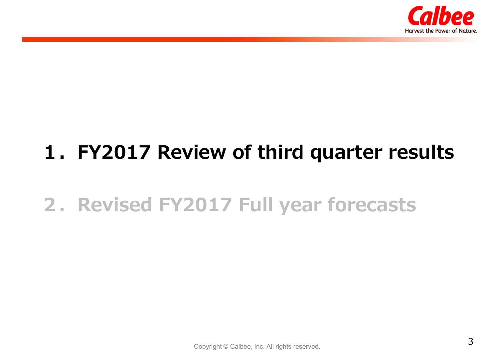

# **1.FY2017 Review of third quarter results**

# **2.Revised FY2017 Full year forecasts**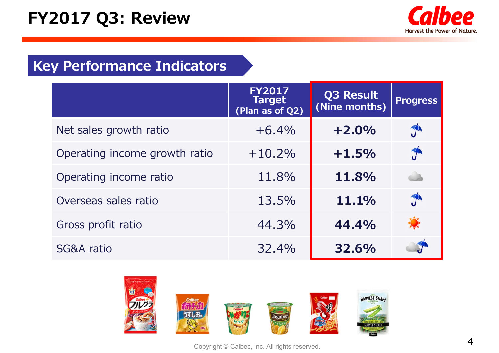# **FY2017 Q3: Review**



### **Key Performance Indicators**

|                               | <b>FY2017</b><br><b>Target</b><br>(Plan as of Q2) | Q3 Result<br>(Nine months) | <b>Progress</b> |
|-------------------------------|---------------------------------------------------|----------------------------|-----------------|
| Net sales growth ratio        | $+6.4%$                                           | $+2.0%$                    | $J^{\prime}$    |
| Operating income growth ratio | $+10,2%$                                          | $+1.5%$                    | $\hat{J}$       |
| Operating income ratio        | 11.8%                                             | 11.8%                      | a b             |
| Overseas sales ratio          | 13.5%                                             | 11.1%                      | $\mathcal{T}$   |
| Gross profit ratio            | 44.3%                                             | 44.4%                      |                 |
| SG&A ratio                    | 32.4%                                             | 32.6%                      |                 |



Copyright © Calbee, Inc. All rights reserved.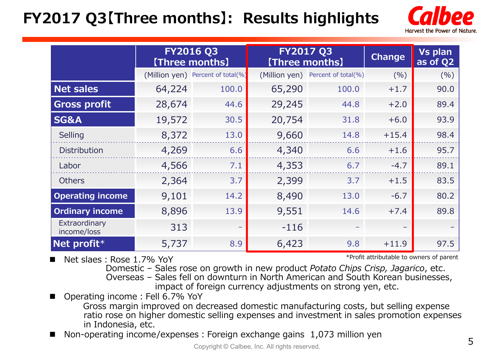# **FY2017 Q3【Three months】: Results highlights**



|                              |        | <b>FY2016 Q3</b><br>[Three months] | <b>FY2017 Q3</b><br><b>[Three months]</b> |                                   | <b>Change</b> | Vs plan<br>as of Q2 |
|------------------------------|--------|------------------------------------|-------------------------------------------|-----------------------------------|---------------|---------------------|
|                              |        | (Million yen) Percent of total(%)  |                                           | (Million yen) Percent of total(%) | (9/6)         | (%)                 |
| <b>Net sales</b>             | 64,224 | 100.0                              | 65,290                                    | 100.0                             | $+1.7$        | 90.0                |
| <b>Gross profit</b>          | 28,674 | 44.6                               | 29,245                                    | 44.8                              | $+2.0$        | 89.4                |
| <b>SG&amp;A</b>              | 19,572 | 30.5                               | 20,754                                    | 31.8                              | $+6.0$        | 93.9                |
| Selling                      | 8,372  | 13.0                               | 9,660                                     | 14.8                              | $+15.4$       | 98.4                |
| <b>Distribution</b>          | 4,269  | 6.6                                | 4,340                                     | 6.6                               | $+1.6$        | 95.7                |
| Labor                        | 4,566  | 7.1                                | 4,353                                     | 6.7                               | $-4.7$        | 89.1                |
| <b>Others</b>                | 2,364  | 3.7                                | 2,399                                     | 3.7                               | $+1.5$        | 83.5                |
| <b>Operating income</b>      | 9,101  | 14.2                               | 8,490                                     | 13.0                              | $-6.7$        | 80.2                |
| <b>Ordinary income</b>       | 8,896  | 13.9                               | 9,551                                     | 14.6                              | $+7.4$        | 89.8                |
| Extraordinary<br>income/loss | 313    | $\qquad \qquad -$                  | $-116$                                    |                                   |               |                     |
| Net profit*                  | 5,737  | 8.9                                | 6,423                                     | 9.8                               | $+11.9$       | 97.5                |

 $\blacksquare$ Net slaes: Rose 1.7% YoY \*Profit attributable to owners of parent

Domestic – Sales rose on growth in new product *Potato Chips Crisp, Jagarico*, etc. Overseas – Sales fell on downturn in North American and South Korean businesses, impact of foreign currency adjustments on strong yen, etc.

 $\blacksquare$ Operating income: Fell 6.7% YoY

Gross margin improved on decreased domestic manufacturing costs, but selling expense ratio rose on higher domestic selling expenses and investment in sales promotion expenses in Indonesia, etc.

 $\blacksquare$ Non-operating income/expenses: Foreign exchange gains 1,073 million yen 5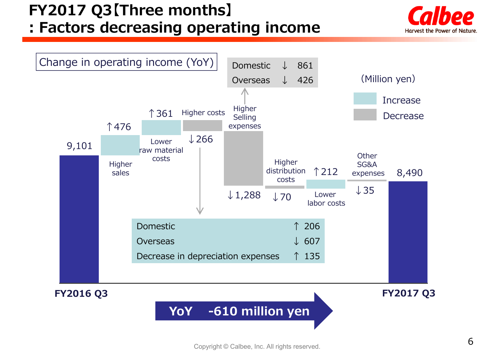### **: Factors decreasing operating income**



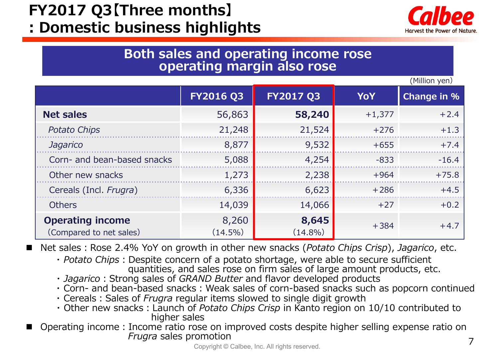**: Domestic business highlights**



#### **Both sales and operating income rose operating margin also rose**

(Million yen)

|                                                    |                     |                     |            | (1.1111011.7011)   |
|----------------------------------------------------|---------------------|---------------------|------------|--------------------|
|                                                    | <b>FY2016 Q3</b>    | <b>FY2017 Q3</b>    | <b>YoY</b> | <b>Change in %</b> |
| <b>Net sales</b>                                   | 56,863              | 58,240              | $+1,377$   | $+2.4$             |
| <b>Potato Chips</b>                                | 21,248              | 21,524              | $+276$     | $+1.3$             |
| Jagarico                                           | 8,877               | 9,532               | $+655$     | $+7.4$             |
| Corn- and bean-based snacks                        | 5,088               | 4,254               | $-833$     | $-16.4$            |
| Other new snacks                                   | 1,273               | 2,238               | $+964$     | $+75.8$            |
| Cereals (Incl. Frugra)                             | 6,336               | 6,623               | $+286$     | $+4.5$             |
| <b>Others</b>                                      | 14,039              | 14,066              | $+27$      | $+0.2$             |
| <b>Operating income</b><br>(Compared to net sales) | 8,260<br>$(14.5\%)$ | 8,645<br>$(14.8\%)$ | $+384$     | $+4.7$             |

 $\blacksquare$ Net sales: Rose 2.4% YoY on growth in other new snacks (*Potato Chips Crisp*), *Jagarico*, etc.

- *Potato Chips*: Despite concern of a potato shortage, were able to secure sufficient quantities, and sales rose on firm sales of large amount products, etc.
- *Jagarico*: Strong sales of *GRAND Butter* and flavor developed products
- Corn- and bean-based snacks : Weak sales of corn-based snacks such as popcorn continued
- Cereals: Sales of *Frugra* regular items slowed to single digit growth
- Other new snacks: Launch of *Potato Chips Crisp* in Kanto region on 10/10 contributed to higher sales
- $\blacksquare$  Operating income:Income ratio rose on improved costs despite higher selling expense ratio on *Frugra* sales promotion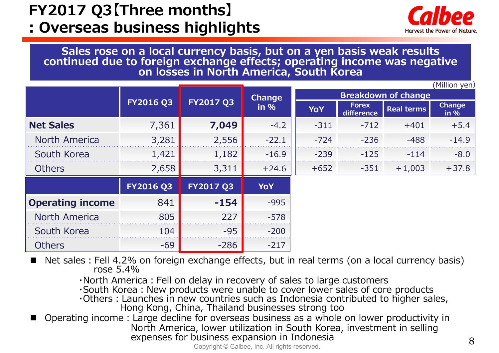### **: Overseas business highlights**



**Sales rose on a local currency basis, but on a yen basis weak results continued due to foreign exchange effects; operating income was negative on losses in North America, South Korea**

|                         |                  |                  |               |                            |                            |                   | (Million yen)         |  |  |
|-------------------------|------------------|------------------|---------------|----------------------------|----------------------------|-------------------|-----------------------|--|--|
|                         |                  |                  | <b>Change</b> | <b>Breakdown of change</b> |                            |                   |                       |  |  |
|                         | <b>FY2016 Q3</b> | FY2017 Q3        | in %          | <b>YoY</b>                 | <b>Forex</b><br>difference | <b>Real terms</b> | <b>Change</b><br>in % |  |  |
| <b>Net Sales</b>        | 7,361            | 7,049            | $-4.2$        | $-311$                     | $-712$                     | $+401$            | $+5.4$                |  |  |
| North America           | 3,281            | 2,556            | $-22.1$       | $-724$                     | $-236$                     | $-488$            | $-14.9$               |  |  |
| South Korea             | 1,421            | 1,182            | $-16.9$       | $-239$                     | $-125$                     | $-114$            | $-8.0$                |  |  |
| <b>Others</b>           | 2,658            | 3,311            | $+24.6$       | $+652$                     | $-351$                     | $+1,003$          | $+37.8$               |  |  |
|                         | <b>FY2016 Q3</b> | <b>FY2017 Q3</b> | YoY           |                            |                            |                   |                       |  |  |
| <b>Operating income</b> | 841              | $-154$           | $-995$        |                            |                            |                   |                       |  |  |
| North America           | 805              | 227              | $-578$        |                            |                            |                   |                       |  |  |
| South Korea             | 104              | $-95$            | $-200$        |                            |                            |                   |                       |  |  |
| <b>Others</b>           | $-69$            | $-286$           | $-217$        |                            |                            |                   |                       |  |  |

E Net sales: Fell 4.2% on foreign exchange effects, but in real terms (on a local currency basis) rose 5.4%

・North America:Fell on delay in recovery of sales to large customers

 $\cdot$ South Korea: New products were unable to cover lower sales of core products

 $\cdot$ Others: Launches in new countries such as Indonesia contributed to higher sales, Hong Kong, China, Thailand businesses strong too

F Operating income:Large decline for overseas business as a whole on lower productivity in North America, lower utilization in South Korea, investment in selling expenses for business expansion in Indonesia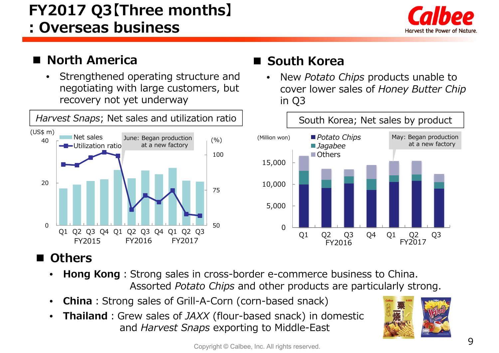**: Overseas business** 



#### $\blacksquare$ **North America**

• Strengthened operating structure and negotiating with large customers, but recovery not yet underway



#### **Others**

- •**Hong Kong**: Strong sales in cross-border e-commerce business to China. Assorted *Potato Chips* and other products are particularly strong.
- •**China**: Strong sales of Grill-A-Corn (corn-based snack)
- • **Thailand**:Grew sales of *JAXX* (flour-based snack) in domestic and *Harvest Snaps* exporting to Middle-East



#### ■ South Korea

• New *Potato Chips* products unable to cover lower sales of *Honey Butter Chip*  in Q3

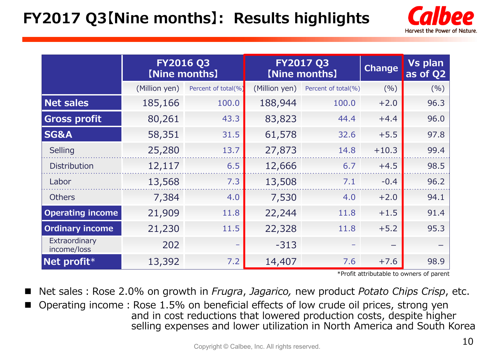# **FY2017 Q3【Nine months】: Results highlights**



|                              | <b>FY2016 Q3</b><br>[Nine months] |                     |               | <b>FY2017 Q3</b><br>[Nine months] | <b>Change</b> | <b>Vs plan</b><br>as of Q2 |
|------------------------------|-----------------------------------|---------------------|---------------|-----------------------------------|---------------|----------------------------|
|                              | (Million yen)                     | Percent of total(%) | (Million yen) | Percent of total(%)               | (%)           | (%)                        |
| <b>Net sales</b>             | 185,166                           | 100.0               | 188,944       | 100.0                             | $+2.0$        | 96.3                       |
| <b>Gross profit</b>          | 80,261                            | 43.3                | 83,823        | 44.4                              | $+4.4$        | 96.0                       |
| <b>SG&amp;A</b>              | 58,351                            | 31.5                | 61,578        | 32.6                              | $+5.5$        | 97.8                       |
| Selling                      | 25,280                            | 13.7                | 27,873        | 14.8                              | $+10.3$       | 99.4                       |
| <b>Distribution</b>          | 12,117                            | 6.5                 | 12,666        | 6.7                               | $+4.5$        | 98.5                       |
| Labor                        | 13,568                            | 7.3                 | 13,508        | 7.1                               | $-0.4$        | 96.2                       |
| <b>Others</b>                | 7,384                             | 4.0                 | 7,530         | 4.0                               | $+2.0$        | 94.1                       |
| <b>Operating income</b>      | 21,909                            | 11.8                | 22,244        | 11.8                              | $+1.5$        | 91.4                       |
| <b>Ordinary income</b>       | 21,230                            | 11.5                | 22,328        | 11.8                              | $+5.2$        | 95.3                       |
| Extraordinary<br>income/loss | 202                               |                     | $-313$        |                                   | —             |                            |
| Net profit*                  | 13,392                            | 7.2                 | 14,407        | 7.6                               | $+7.6$        | 98.9                       |

\*Profit attributable to owners of parent

 $\blacksquare$ Net sales: Rose 2.0% on growth in *Frugra, Jagarico,* new product *Potato Chips Crisp*, etc.

Operating income: Rose 1.5% on beneficial effects of low crude oil prices, strong yen and in cost reductions that lowered production costs, despite higher selling expenses and lower utilization in North America and South Korea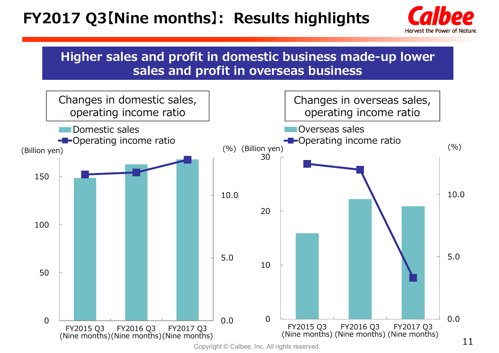# **FY2017 Q3【Nine months】: Results highlights**



#### **Higher sales and profit in domestic business made-up lower sales and profit in overseas business**

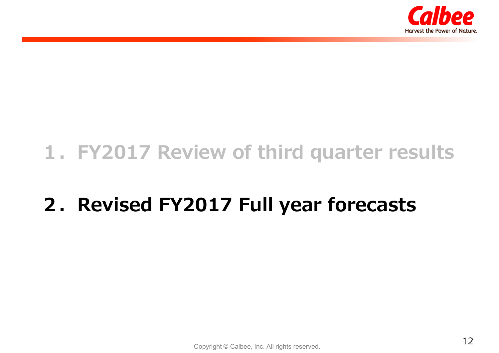

# **1.FY2017 Review of third quarter results**

# **2.Revised FY2017 Full year forecasts**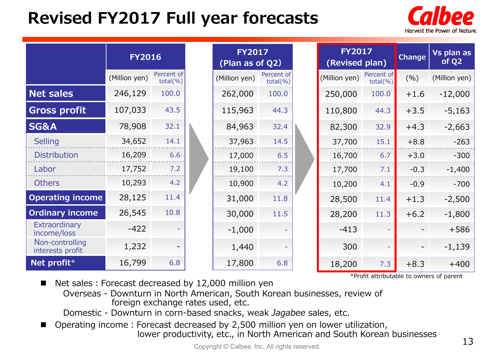# **Revised FY2017 Full year forecasts**



|                                     | <b>FY2016</b> |                            | <b>FY2017</b><br>(Plan as of Q2) |                            | <b>FY2017</b><br>(Revised plan) |               | Change                     | <b>Vs plan as</b><br>of Q <sub>2</sub> |               |
|-------------------------------------|---------------|----------------------------|----------------------------------|----------------------------|---------------------------------|---------------|----------------------------|----------------------------------------|---------------|
|                                     | (Million yen) | Percent of<br>$total(\% )$ | (Million yen)                    | Percent of<br>$total(\% )$ |                                 | (Million yen) | Percent of<br>$total(\% )$ | (%)                                    | (Million yen) |
| <b>Net sales</b>                    | 246,129       | 100.0                      | 262,000                          | 100.0                      |                                 | 250,000       | 100.0                      | $+1.6$                                 | $-12,000$     |
| <b>Gross profit</b>                 | 107,033       | 43.5                       | 115,963                          | 44.3                       |                                 | 110,800       | 44.3                       | $+3.5$                                 | $-5,163$      |
| <b>SG&amp;A</b>                     | 78,908        | 32.1                       | 84,963                           | 32.4                       |                                 | 82,300        | 32.9                       | $+4.3$                                 | $-2,663$      |
| <b>Selling</b>                      | 34,652        | 14.1                       | 37,963                           | 14.5                       |                                 | 37,700        | 15.1                       | $+8.8$                                 | $-263$        |
| <b>Distribution</b>                 | 16,209        | 6.6                        | 17,000                           | 6.5                        |                                 | 16,700        | 6.7                        | $+3.0$                                 | $-300$        |
| Labor                               | 17,752        | 7.2                        | 19,100                           | 7.3                        |                                 | 17,700        | 7.1                        | $-0.3$                                 | $-1,400$      |
| <b>Others</b>                       | 10,293        | 4.2                        | 10,900                           | 4.2                        |                                 | 10,200        | 4.1                        | $-0.9$                                 | $-700$        |
| <b>Operating income</b>             | 28,125        | 11.4                       | 31,000                           | 11.8                       |                                 | 28,500        | 11.4                       | $+1.3$                                 | $-2,500$      |
| <b>Ordinary income</b>              | 26,545        | 10.8                       | 30,000                           | 11.5                       |                                 | 28,200        | 11.3                       | $+6.2$                                 | $-1,800$      |
| Extraordinary<br>income/loss        | $-422$        |                            | $-1,000$                         |                            |                                 | $-413$        |                            |                                        | $+586$        |
| Non-controlling<br>interests profit | 1,232         |                            | 1,440                            |                            |                                 | 300           |                            |                                        | $-1,139$      |
| Net profit*                         | 16,799        | 6.8                        | 17,800                           | 6.8                        |                                 | 18,200        | 7.3                        | $+8.3$                                 | $+400$        |

\*Profit attributable to owners of parent

- Net sales: Forecast decreased by 12,000 million yen
	- Overseas Downturn in North American, South Korean businesses, review of foreign exchange rates used, etc.
	- Domestic Downturn in corn-based snacks, weak *Jagabee* sales, etc.
- $\blacksquare$ Operating income: Forecast decreased by 2,500 million yen on lower utilization, lower productivity, etc., in North American and South Korean businesses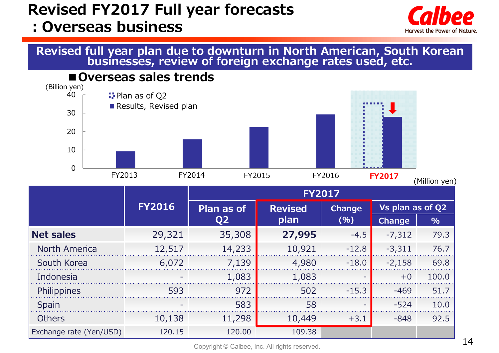### **Revised FY2017 Full year forecasts :Overseas business**



# **Revised full year plan due to downturn in North American, South Korean businesses, review of foreign exchange rates used, etc.**

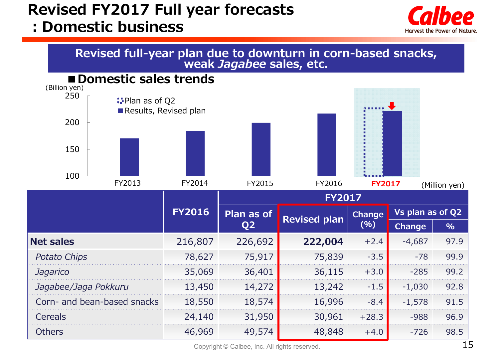### **Revised FY2017 Full year forecasts :Domestic business**







Copyright © Calbee, Inc. All rights reserved.  $15$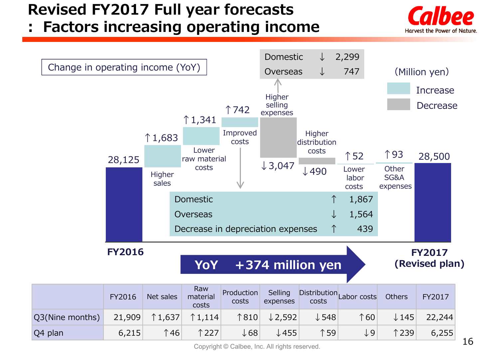### **Revised FY2017 Full year forecasts**

**: Factors increasing operating income**





Copyright © Calbee, Inc. All rights reserved.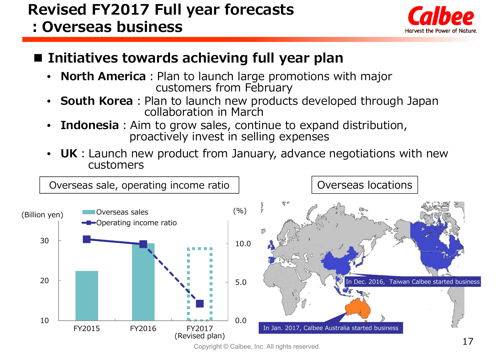### **Revised FY2017 Full year forecasts :Overseas business**



### **Initiatives towards achieving full year plan**

- •**North America**: Plan to launch large promotions with major customers from February
- •**South Korea**: Plan to launch new products developed through Japan collaboration in March
- •**Indonesia**: Aim to grow sales, continue to expand distribution, proactively invest in selling expenses
- •**UK**: Launch new product from January, advance negotiations with new customers

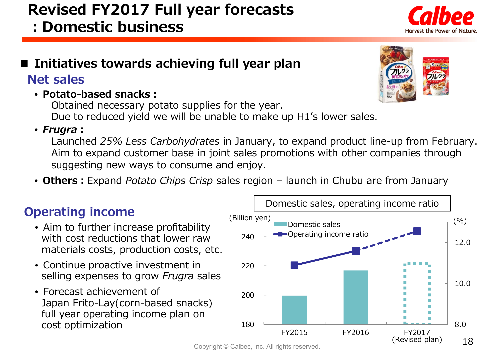Copyright © Calbee, Inc. All rights reserved.

### **Revised FY2017 Full year forecasts :Domestic business**

#### ■ Initiatives towards achieving full year plan

#### **Net sales**

• **Potato-based snacks:**

Obtained necessary potato supplies for the year. Due to reduced yield we will be unable to make up H1's lower sales.

#### • *Frugra***:**

Launched *25% Less Carbohydrates* in January, to expand product line-up from February. Aim to expand customer base in joint sales promotions with other companies through suggesting new ways to consume and enjoy.

• **Others:**Expand *Potato Chips Crisp* sales region – launch in Chubu are from January

- Aim to further increase profitability with cost reductions that lower rawmaterials costs, production costs, etc.
- Continue proactive investment in selling expenses to grow *Frugra* sales
- Forecast achievement of Japan Frito-Lay(corn-based snacks) full year operating income plan on cost optimization





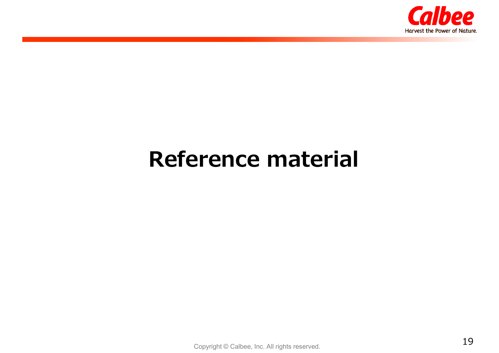

# **Reference material**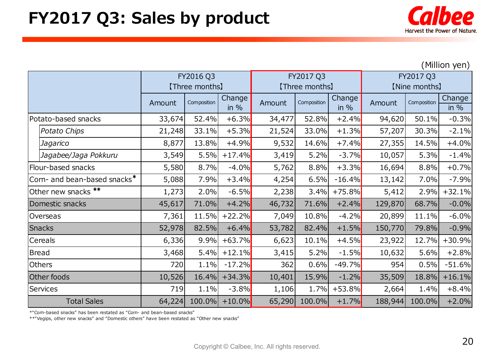

(Million yen)

|                              | FY2016 Q3      |             |          | FY2017 Q3      |             |          | FY2017 Q3     |             |          |
|------------------------------|----------------|-------------|----------|----------------|-------------|----------|---------------|-------------|----------|
|                              | [Three months] |             |          | [Three months] |             |          | [Nine months] |             |          |
|                              | Amount         | Composition | Change   | Amount         | Composition | Change   | Amount        | Composition | Change   |
|                              |                |             | in $%$   |                |             | in $%$   |               |             | in $%$   |
| Potato-based snacks          | 33,674         | 52.4%       | $+6.3%$  | 34,477         | 52.8%       | $+2.4%$  | 94,620        | 50.1%       | $-0.3%$  |
| Potato Chips                 | 21,248         | 33.1%       | $+5.3%$  | 21,524         | 33.0%       | $+1.3%$  | 57,207        | 30.3%       | $-2.1%$  |
| Jagarico                     | 8,877          | 13.8%       | $+4.9%$  | 9,532          | 14.6%       | $+7.4%$  | 27,355        | 14.5%       | $+4.0%$  |
| Jagabee/Jaga Pokkuru         | 3,549          | 5.5%        | $+17.4%$ | 3,419          | 5.2%        | $-3.7%$  | 10,057        | 5.3%        | $-1.4%$  |
| Flour-based snacks           | 5,580          | 8.7%        | $-4.0%$  | 5,762          | 8.8%        | $+3.3%$  | 16,694        | 8.8%        | $+0.7%$  |
| Corn- and bean-based snacks* | 5,088          | 7.9%        | $+3.4%$  | 4,254          | 6.5%        | $-16.4%$ | 13,142        | 7.0%        | $-7.9%$  |
| Other new snacks **          | 1,273          | 2.0%        | $-6.5%$  | 2,238          | 3.4%        | $+75.8%$ | 5,412         | 2.9%        | $+32.1%$ |
| Domestic snacks              | 45,617         | 71.0%       | $+4.2%$  | 46,732         | 71.6%       | $+2.4%$  | 129,870       | 68.7%       | $-0.0%$  |
| Overseas                     | 7,361          | 11.5%       | $+22.2%$ | 7,049          | 10.8%       | $-4.2%$  | 20,899        | 11.1%       | $-6.0%$  |
| Snacks                       | 52,978         | 82.5%       | $+6.4%$  | 53,782         | 82.4%       | $+1.5%$  | 150,770       | 79.8%       | $-0.9%$  |
| Cereals                      | 6,336          | 9.9%        | $+63.7%$ | 6,623          | 10.1%       | $+4.5%$  | 23,922        | 12.7%       | $+30.9%$ |
| <b>Bread</b>                 | 3,468          | 5.4%        | $+12.1%$ | 3,415          | 5.2%        | $-1.5%$  | 10,632        | 5.6%        | $+2.8%$  |
| <b>Others</b>                | 720            | 1.1%        | $-17.2%$ | 362            | 0.6%        | $-49.7%$ | 954           | 0.5%        | $-51.6%$ |
| Other foods                  | 10,526         | 16.4%       | $+34.3%$ | 10,401         | 15.9%       | $-1.2%$  | 35,509        | 18.8%       | $+16.1%$ |
| <b>Services</b>              | 719            | 1.1%        | $-3.8%$  | 1,106          | 1.7%        | $+53.8%$ | 2,664         | 1.4%        | $+8.4%$  |
| <b>Total Sales</b>           | 64,224         | 100.0%      | $+10.0%$ | 65,290         | 100.0%      | $+1.7%$  | 188,944       | 100.0%      | $+2.0%$  |

\*"Corn-based snacks" has been restated as "Corn- and bean-based snacks"

\*\*"Vegips, other new snacks" and "Domestic others" have been restated as "Other new snacks"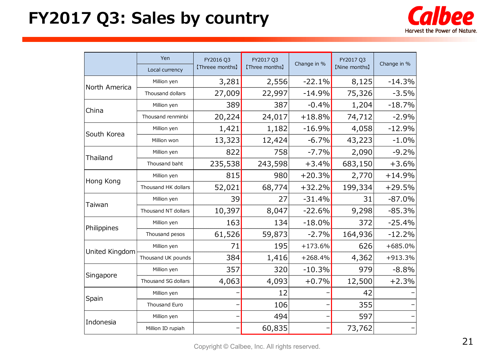# **FY2017 Q3: Sales by country**



|                | Yen                 | FY2016 Q3       | FY2017 Q3      | Change in % | FY2017 Q3     | Change in % |  |
|----------------|---------------------|-----------------|----------------|-------------|---------------|-------------|--|
|                | Local currency      | [Threee months] | [Three months] |             | [Nine months] |             |  |
| North America  | Million yen         | 3,281           | 2,556          | $-22.1%$    | 8,125         | $-14.3%$    |  |
|                | Thousand dollars    | 27,009          | 22,997         | $-14.9%$    | 75,326        | $-3.5%$     |  |
| China          | Million yen         | 389             | 387            | $-0.4%$     | 1,204         | $-18.7%$    |  |
|                | Thousand renminbi   | 20,224          | 24,017         | $+18.8%$    | 74,712        | $-2.9%$     |  |
| South Korea    | Million yen         | 1,421           | 1,182          | $-16.9%$    | 4,058         | $-12.9%$    |  |
|                | Million won         | 13,323          | 12,424         | $-6.7%$     | 43,223        | $-1.0%$     |  |
| Thailand       | Million yen         | 822             | 758            | $-7.7%$     | 2,090         | $-9.2%$     |  |
|                | Thousand baht       | 235,538         | 243,598        | $+3.4%$     | 683,150       | $+3.6%$     |  |
| Hong Kong      | Million yen         | 815             | 980            | $+20.3%$    | 2,770         | $+14.9%$    |  |
|                | Thousand HK dollars | 52,021          | 68,774         | $+32.2%$    | 199,334       | $+29.5%$    |  |
| Taiwan         | Million yen         | 39              | 27             | $-31.4%$    | 31            | $-87.0%$    |  |
|                | Thousand NT dollars | 10,397          | 8,047          | $-22.6%$    | 9,298         | $-85.3%$    |  |
| Philippines    | Million yen         | 163             | 134            | $-18.0%$    | 372           | $-25.4%$    |  |
|                | Thousand pesos      | 61,526          | 59,873         | $-2.7%$     | 164,936       | $-12.2%$    |  |
| United Kingdom | Million yen         | 71              | 195            | $+173.6%$   | 626           | $+685.0%$   |  |
|                | Thousand UK pounds  | 384             | 1,416          | $+268.4%$   | 4,362         | +913.3%     |  |
|                | Million yen         | 357             | 320            | $-10.3%$    | 979           | $-8.8%$     |  |
| Singapore      | Thousand SG dollars | 4,063           | 4,093          | $+0.7%$     | 12,500        | $+2.3%$     |  |
|                | Million yen         |                 | 12             |             | 42            |             |  |
| Spain          | Thousand Euro       |                 | 106            |             | 355           |             |  |
|                | Million yen         |                 | 494            |             | 597           |             |  |
| Indonesia      | Million ID rupiah   |                 | 60,835         |             | 73,762        |             |  |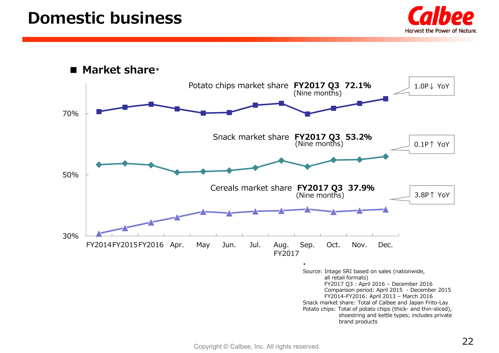### **Domestic business**



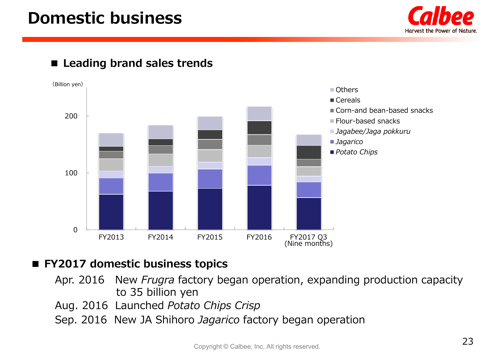### **Domestic business**



#### ■ Leading brand sales trends



#### **■ FY2017 domestic business topics**

- Apr. 2016 New *Frugra* factory began operation, expanding production capacity to 35 billion yen
- Aug. 2016 Launched *Potato Chips Crisp*
- Sep. 2016 New JA Shihoro *Jagarico* factory began operation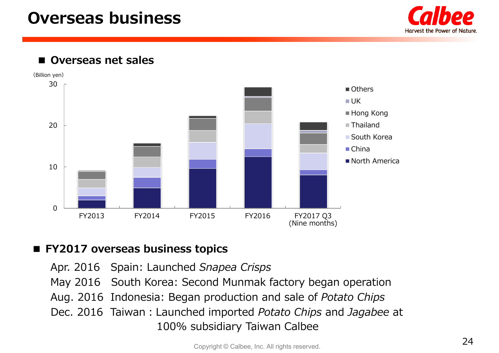### **Overseas business**



■ **Overseas net sales** 



#### ■ **FY2017 overseas business topics**

Apr. 2016 Spain: Launched *Snapea Crisps* May 2016 South Korea: Second Munmak factory began operation Aug. 2016 Indonesia: Began production and sale of *Potato Chips* Dec. 2016 Taiwan:Launched imported *Potato Chips* and *Jagabee* at 100% subsidiary Taiwan Calbee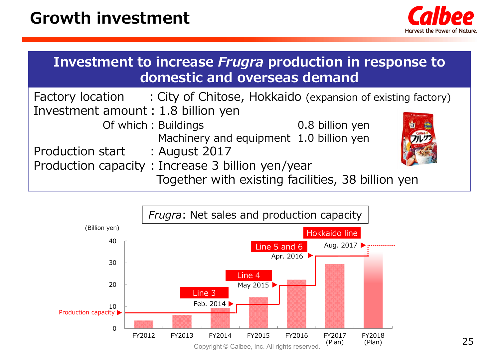

| Investment to increase <i>Frugra</i> production in response to<br>domestic and overseas demand |                     |                                                                              |  |  |  |  |
|------------------------------------------------------------------------------------------------|---------------------|------------------------------------------------------------------------------|--|--|--|--|
|                                                                                                |                     | Factory location : City of Chitose, Hokkaido (expansion of existing factory) |  |  |  |  |
| Investment amount : 1.8 billion yen                                                            |                     |                                                                              |  |  |  |  |
|                                                                                                | Of which: Buildings | 0.8 billion yen                                                              |  |  |  |  |

Machinery and equipment 1.0 billion yen Production start : August 2017 Production capacity: Increase 3 billion yen/year Together with existing facilities, 38 billion yen